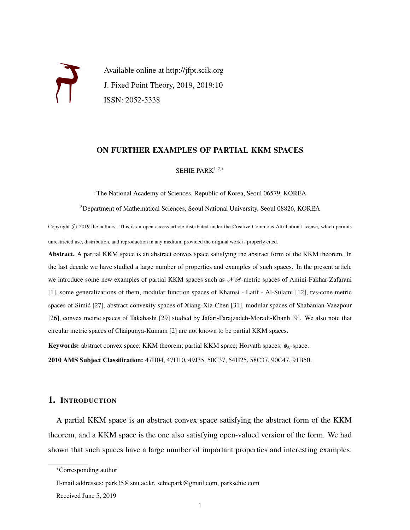Available online at http://jfpt.scik.org J. Fixed Point Theory, 2019, 2019:10 ISSN: 2052-5338

### ON FURTHER EXAMPLES OF PARTIAL KKM SPACES

### SEHIE PARK1,2,<sup>∗</sup>

<sup>1</sup>The National Academy of Sciences, Republic of Korea, Seoul 06579, KOREA

<sup>2</sup>Department of Mathematical Sciences, Seoul National University, Seoul 08826, KOREA

Copyright © 2019 the authors. This is an open access article distributed under the Creative Commons Attribution License, which permits unrestricted use, distribution, and reproduction in any medium, provided the original work is properly cited.

Abstract. A partial KKM space is an abstract convex space satisfying the abstract form of the KKM theorem. In the last decade we have studied a large number of properties and examples of such spaces. In the present article we introduce some new examples of partial KKM spaces such as  $\mathcal{NR}$ -metric spaces of Amini-Fakhar-Zafarani [1], some generalizations of them, modular function spaces of Khamsi - Latif - Al-Sulami [12], tvs-cone metric spaces of Simic [27], abstract convexity spaces of Xiang-Xia-Chen [31], modular spaces of Shabanian-Vaezpour ´ [26], convex metric spaces of Takahashi [29] studied by Jafari-Farajzadeh-Moradi-Khanh [9]. We also note that circular metric spaces of Chaipunya-Kumam [2] are not known to be partial KKM spaces.

Keywords: abstract convex space; KKM theorem; partial KKM space; Horvath spaces; φ*A*-space.

2010 AMS Subject Classification: 47H04, 47H10, 49J35, 50C37, 54H25, 58C37, 90C47, 91B50.

# 1. INTRODUCTION

A partial KKM space is an abstract convex space satisfying the abstract form of the KKM theorem, and a KKM space is the one also satisfying open-valued version of the form. We had shown that such spaces have a large number of important properties and interesting examples.

Received June 5, 2019

<sup>∗</sup>Corresponding author

E-mail addresses: park35@snu.ac.kr, sehiepark@gmail.com, parksehie.com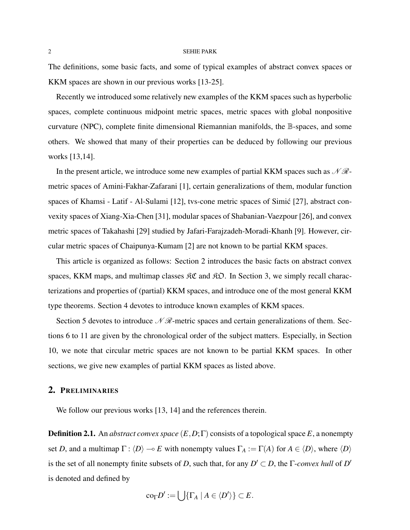The definitions, some basic facts, and some of typical examples of abstract convex spaces or KKM spaces are shown in our previous works [13-25].

Recently we introduced some relatively new examples of the KKM spaces such as hyperbolic spaces, complete continuous midpoint metric spaces, metric spaces with global nonpositive curvature (NPC), complete finite dimensional Riemannian manifolds, the B-spaces, and some others. We showed that many of their properties can be deduced by following our previous works [13,14].

In the present article, we introduce some new examples of partial KKM spaces such as  $\mathcal{N}\mathcal{R}$ metric spaces of Amini-Fakhar-Zafarani [1], certain generalizations of them, modular function spaces of Khamsi - Latif - Al-Sulami [12], tvs-cone metric spaces of Simic [27], abstract convexity spaces of Xiang-Xia-Chen [31], modular spaces of Shabanian-Vaezpour [26], and convex metric spaces of Takahashi [29] studied by Jafari-Farajzadeh-Moradi-Khanh [9]. However, circular metric spaces of Chaipunya-Kumam [2] are not known to be partial KKM spaces.

This article is organized as follows: Section 2 introduces the basic facts on abstract convex spaces, KKM maps, and multimap classes  $\mathfrak{RC}$  and  $\mathfrak{RD}$ . In Section 3, we simply recall characterizations and properties of (partial) KKM spaces, and introduce one of the most general KKM type theorems. Section 4 devotes to introduce known examples of KKM spaces.

Section 5 devotes to introduce  $\mathcal{N}\mathcal{R}$ -metric spaces and certain generalizations of them. Sections 6 to 11 are given by the chronological order of the subject matters. Especially, in Section 10, we note that circular metric spaces are not known to be partial KKM spaces. In other sections, we give new examples of partial KKM spaces as listed above.

### 2. PRELIMINARIES

We follow our previous works [13, 14] and the references therein.

Definition 2.1. An *abstract convex space* (*E*,*D*;Γ) consists of a topological space *E*, a nonempty set *D*, and a multimap  $\Gamma : \langle D \rangle \to E$  with nonempty values  $\Gamma_A := \Gamma(A)$  for  $A \in \langle D \rangle$ , where  $\langle D \rangle$ is the set of all nonempty finite subsets of *D*, such that, for any  $D' \subset D$ , the  $\Gamma$ -*convex hull* of  $D'$ is denoted and defined by

$$
\mathrm{co}_{\Gamma}D':=\bigcup\{\Gamma_A\mid A\in\langle D'\rangle\}\subset E.
$$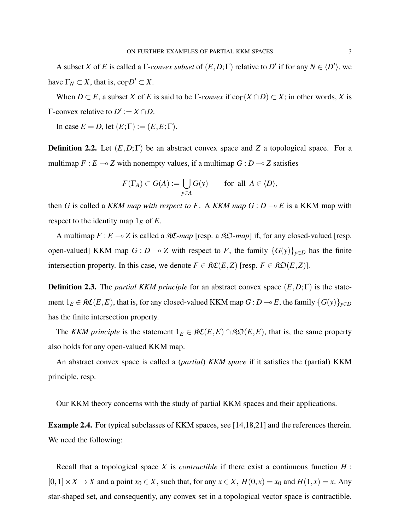A subset *X* of *E* is called a  $\Gamma$ -*convex subset* of  $(E, D; \Gamma)$  relative to  $D'$  if for any  $N \in \langle D' \rangle$ , we have  $\Gamma_N \subset X$ , that is,  $\text{co}_{\Gamma} D' \subset X$ .

When  $D \subset E$ , a subset *X* of *E* is said to be  $\Gamma$ -*convex* if  $\text{co}_{\Gamma}(X \cap D) \subset X$ ; in other words, *X* is  $\Gamma$ -convex relative to  $D' := X \cap D$ .

In case  $E = D$ , let  $(E; \Gamma) := (E, E; \Gamma)$ .

Definition 2.2. Let (*E*,*D*;Γ) be an abstract convex space and *Z* a topological space. For a multimap  $F : E \to Z$  with nonempty values, if a multimap  $G : D \to Z$  satisfies

$$
F(\Gamma_A) \subset G(A) := \bigcup_{y \in A} G(y) \quad \text{for all } A \in \langle D \rangle,
$$

then *G* is called a *KKM map with respect to F.* A *KKM map G* :  $D \rightarrow E$  is a KKM map with respect to the identity map  $1<sub>E</sub>$  of  $E$ .

A multimap  $F : E \to Z$  is called a  $\Re \mathfrak{C}$ *-map* [resp. a  $\Re \mathfrak{O}$ *-map*] if, for any closed-valued [resp. open-valued] KKM map  $G : D \to Z$  with respect to *F*, the family  ${G(y)}_{y \in D}$  has the finite intersection property. In this case, we denote  $F \in \mathcal{RC}(E, Z)$  [resp.  $F \in \mathcal{RD}(E, Z)$ ].

Definition 2.3. The *partial KKM principle* for an abstract convex space (*E*,*D*;Γ) is the statement  $1_E \in \mathfrak{RC}(E,E)$ , that is, for any closed-valued KKM map  $G : D \to E$ , the family  ${G(y)}_{y \in D}$ has the finite intersection property.

The *KKM principle* is the statement  $1_E \in \Re{\mathfrak{C}(E, E)} \cap \Re{\mathfrak{O}(E, E)}$ , that is, the same property also holds for any open-valued KKM map.

An abstract convex space is called a (*partial*) *KKM space* if it satisfies the (partial) KKM principle, resp.

Our KKM theory concerns with the study of partial KKM spaces and their applications.

Example 2.4. For typical subclasses of KKM spaces, see [14,18,21] and the references therein. We need the following:

Recall that a topological space *X* is *contractible* if there exist a continuous function *H* :  $[0,1] \times X \to X$  and a point  $x_0 \in X$ , such that, for any  $x \in X$ ,  $H(0,x) = x_0$  and  $H(1,x) = x$ . Any star-shaped set, and consequently, any convex set in a topological vector space is contractible.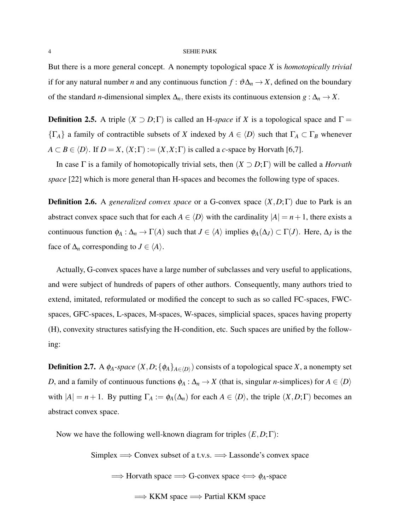But there is a more general concept. A nonempty topological space *X* is *homotopically trivial* if for any natural number *n* and any continuous function  $f : \vartheta \Delta_n \to X$ , defined on the boundary of the standard *n*-dimensional simplex  $\Delta_n$ , there exists its continuous extension  $g : \Delta_n \to X$ .

**Definition 2.5.** A triple  $(X \supset D; \Gamma)$  is called an H-*space* if *X* is a topological space and  $\Gamma =$  ${\{\Gamma_A\}}$  a family of contractible subsets of *X* indexed by  $A \in \langle D \rangle$  such that  $\Gamma_A \subset \Gamma_B$  whenever  $A \subset B \in \langle D \rangle$ . If  $D = X$ ,  $(X;\Gamma) := (X,X;\Gamma)$  is called a *c*-space by Horvath [6,7].

In case Γ is a family of homotopically trivial sets, then (*X* ⊃ *D*;Γ) will be called a *Horvath space* [22] which is more general than H-spaces and becomes the following type of spaces.

Definition 2.6. A *generalized convex space* or a G-convex space (*X*,*D*;Γ) due to Park is an abstract convex space such that for each  $A \in \langle D \rangle$  with the cardinality  $|A| = n + 1$ , there exists a continuous function  $\phi_A : \Delta_n \to \Gamma(A)$  such that  $J \in \langle A \rangle$  implies  $\phi_A(\Delta_J) \subset \Gamma(J)$ . Here,  $\Delta_J$  is the face of  $\Delta_n$  corresponding to  $J \in \langle A \rangle$ .

Actually, G-convex spaces have a large number of subclasses and very useful to applications, and were subject of hundreds of papers of other authors. Consequently, many authors tried to extend, imitated, reformulated or modified the concept to such as so called FC-spaces, FWCspaces, GFC-spaces, L-spaces, M-spaces, W-spaces, simplicial spaces, spaces having property (H), convexity structures satisfying the H-condition, etc. Such spaces are unified by the following:

**Definition 2.7.** A  $\phi_A$ -*space*  $(X, D; \{\phi_A\}_{A \in \langle D \rangle})$  consists of a topological space  $X$ , a nonempty set *D*, and a family of continuous functions  $\phi_A : \Delta_n \to X$  (that is, singular *n*-simplices) for  $A \in \langle D \rangle$ with  $|A| = n + 1$ . By putting  $\Gamma_A := \phi_A(\Delta_n)$  for each  $A \in \langle D \rangle$ , the triple  $(X, D; \Gamma)$  becomes an abstract convex space.

Now we have the following well-known diagram for triples (*E*,*D*;Γ):

Simplex  $\Longrightarrow$  Convex subset of a t.v.s.  $\Longrightarrow$  Lassonde's convex space

 $\implies$  Horvath space  $\implies$  G-convex space  $\iff \phi_A$ -space

 $\Longrightarrow$  KKM space  $\Longrightarrow$  Partial KKM space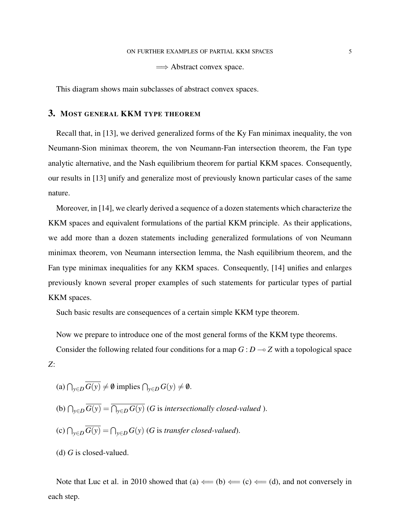### ON FURTHER EXAMPLES OF PARTIAL KKM SPACES 5

 $\Longrightarrow$  Abstract convex space.

This diagram shows main subclasses of abstract convex spaces.

### 3. MOST GENERAL KKM TYPE THEOREM

Recall that, in [13], we derived generalized forms of the Ky Fan minimax inequality, the von Neumann-Sion minimax theorem, the von Neumann-Fan intersection theorem, the Fan type analytic alternative, and the Nash equilibrium theorem for partial KKM spaces. Consequently, our results in [13] unify and generalize most of previously known particular cases of the same nature.

Moreover, in [14], we clearly derived a sequence of a dozen statements which characterize the KKM spaces and equivalent formulations of the partial KKM principle. As their applications, we add more than a dozen statements including generalized formulations of von Neumann minimax theorem, von Neumann intersection lemma, the Nash equilibrium theorem, and the Fan type minimax inequalities for any KKM spaces. Consequently, [14] unifies and enlarges previously known several proper examples of such statements for particular types of partial KKM spaces.

Such basic results are consequences of a certain simple KKM type theorem.

Now we prepare to introduce one of the most general forms of the KKM type theorems.

Consider the following related four conditions for a map  $G : D \rightarrow Z$  with a topological space *Z*:

(a)  $\bigcap_{y \in D} G(y) \neq \emptyset$  implies  $\bigcap_{y \in D} G(y) \neq \emptyset$ .

- (b)  $\bigcap_{y\in D} G(y) = \bigcap_{y\in D} G(y)$  (*G* is *intersectionally closed-valued* ).
- (c)  $\bigcap_{y \in D} G(y) = \bigcap_{y \in D} G(y)$  (*G* is *transfer closed-valued*).

(d) *G* is closed-valued.

Note that Luc et al. in 2010 showed that (a)  $\Leftarrow$  (b)  $\Leftarrow$  (c)  $\Leftarrow$  (d), and not conversely in each step.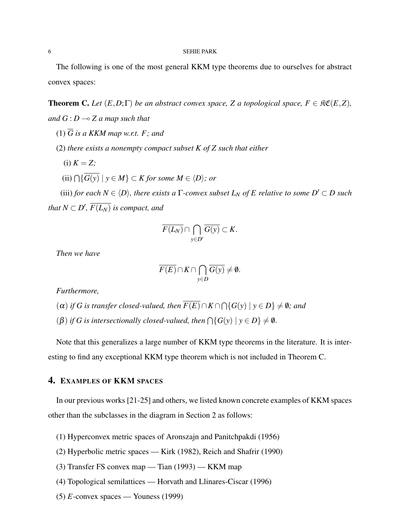The following is one of the most general KKM type theorems due to ourselves for abstract convex spaces:

**Theorem C.** Let  $(E, D; \Gamma)$  be an abstract convex space, Z a topological space,  $F \in \mathcal{RC}(E, Z)$ , *and*  $G : D \rightarrow Z$  *a map such that* 

- $(1)$   $\overline{G}$  is a KKM map w.r.t. F; and
- (2) *there exists a nonempty compact subset K of Z such that either*
	- (i)  $K = Z$ ;
	- $(iii) ∩ {G(y) | y ∈ M} ⊂ K for some M ∈  $\langle D \rangle$ ; or$

(iii) *for each*  $N \in \langle D \rangle$ *, there exists a*  $\Gamma$ *-convex subset*  $L_N$  *of*  $E$  *relative to some*  $D' \subset D$  *such* that  $N \subset D'$ ,  $\overline{F(L_N)}$  is compact, and

$$
\overline{F(L_N)} \cap \bigcap_{y \in D'} \overline{G(y)} \subset K.
$$

*Then we have*

$$
\overline{F(E)} \cap K \cap \bigcap_{y \in D} \overline{G(y)} \neq \emptyset.
$$

*Furthermore,*

- $P((\alpha)$  *if* G is transfer closed-valued, then  $F(E) \cap K \cap \bigcap \{G(y) \mid y \in D\} \neq \emptyset$ ; and
- $\mathcal{A}(\beta)$  *if G is intersectionally closed-valued, then*  $\bigcap \{G(y) \mid y \in D\} \neq \emptyset$ .

Note that this generalizes a large number of KKM type theorems in the literature. It is interesting to find any exceptional KKM type theorem which is not included in Theorem C.

# 4. EXAMPLES OF KKM SPACES

In our previous works [21-25] and others, we listed known concrete examples of KKM spaces other than the subclasses in the diagram in Section 2 as follows:

- (1) Hyperconvex metric spaces of Aronszajn and Panitchpakdi (1956)
- (2) Hyperbolic metric spaces Kirk (1982), Reich and Shafrir (1990)
- (3) Transfer FS convex map Tian (1993) KKM map
- (4) Topological semilattices Horvath and Llinares-Ciscar (1996)
- (5) *E*-convex spaces Youness (1999)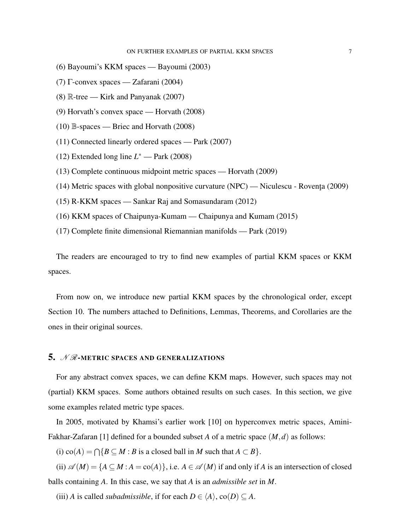#### ON FURTHER EXAMPLES OF PARTIAL KKM SPACES  $7$

- (6) Bayoumi's KKM spaces Bayoumi (2003)
- (7) Γ-convex spaces Zafarani (2004)
- $(8)$  R-tree Kirk and Panyanak  $(2007)$
- (9) Horvath's convex space Horvath (2008)
- (10) B-spaces Briec and Horvath (2008)
- (11) Connected linearly ordered spaces Park (2007)
- (12) Extended long line  $L^*$  Park (2008)
- (13) Complete continuous midpoint metric spaces Horvath (2009)
- (14) Metric spaces with global nonpositive curvature  $(NPC)$  Niculescu Roventa (2009)
- (15) R-KKM spaces Sankar Raj and Somasundaram (2012)
- (16) KKM spaces of Chaipunya-Kumam Chaipunya and Kumam (2015)
- (17) Complete finite dimensional Riemannian manifolds Park (2019)

The readers are encouraged to try to find new examples of partial KKM spaces or KKM spaces.

From now on, we introduce new partial KKM spaces by the chronological order, except Section 10. The numbers attached to Definitions, Lemmas, Theorems, and Corollaries are the ones in their original sources.

# 5.  $N\mathcal{R}$ -METRIC SPACES AND GENERALIZATIONS

For any abstract convex spaces, we can define KKM maps. However, such spaces may not (partial) KKM spaces. Some authors obtained results on such cases. In this section, we give some examples related metric type spaces.

In 2005, motivated by Khamsi's earlier work [10] on hyperconvex metric spaces, Amini-Fakhar-Zafaran [1] defined for a bounded subset *A* of a metric space (*M*,*d*) as follows:

(i)  $\text{co}(A) = \bigcap \{ B \subseteq M : B \text{ is a closed ball in } M \text{ such that } A \subset B \}.$ 

(ii)  $\mathscr{A}(M) = \{A \subseteq M : A = \text{co}(A)\}\$ , i.e.  $A \in \mathscr{A}(M)$  if and only if *A* is an intersection of closed balls containing *A*. In this case, we say that *A* is an *admissible set* in *M*.

(iii) *A* is called *subadmissible*, if for each  $D \in \langle A \rangle$ , co(*D*)  $\subseteq A$ .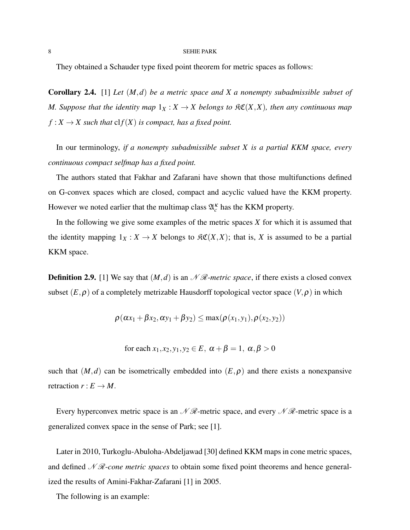They obtained a Schauder type fixed point theorem for metric spaces as follows:

Corollary 2.4. [1] *Let* (*M*,*d*) *be a metric space and X a nonempty subadmissible subset of M. Suppose that the identity map*  $1_X : X \to X$  *belongs to*  $\Re\mathfrak{C}(X,X)$ *, then any continuous map*  $f: X \to X$  such that  $\text{cl} f(X)$  *is compact, has a fixed point.* 

In our terminology, *if a nonempty subadmissible subset X is a partial KKM space, every continuous compact selfmap has a fixed point.*

The authors stated that Fakhar and Zafarani have shown that those multifunctions defined on G-convex spaces which are closed, compact and acyclic valued have the KKM property. However we noted earlier that the multimap class  $\mathfrak{A}_{c}^{k}$  has the KKM property.

In the following we give some examples of the metric spaces *X* for which it is assumed that the identity mapping  $1_X : X \to X$  belongs to  $\Re\mathfrak{C}(X,X)$ ; that is, X is assumed to be a partial KKM space.

**Definition 2.9.** [1] We say that  $(M,d)$  is an  $\mathcal{N}\mathcal{R}$ -metric space, if there exists a closed convex subset  $(E, \rho)$  of a completely metrizable Hausdorff topological vector space  $(V, \rho)$  in which

$$
\rho(\alpha x_1+\beta x_2,\alpha y_1+\beta y_2)\leq \max(\rho(x_1,y_1),\rho(x_2,y_2))
$$

for each  $x_1, x_2, y_1, y_2 \in E$ ,  $\alpha + \beta = 1$ ,  $\alpha, \beta > 0$ 

such that  $(M,d)$  can be isometrically embedded into  $(E,\rho)$  and there exists a nonexpansive retraction  $r : E \to M$ .

Every hyperconvex metric space is an  $\mathcal{N}\mathcal{R}$ -metric space, and every  $\mathcal{N}\mathcal{R}$ -metric space is a generalized convex space in the sense of Park; see [1].

Later in 2010, Turkoglu-Abuloha-Abdeljawad [30] defined KKM maps in cone metric spaces, and defined N R-*cone metric spaces* to obtain some fixed point theorems and hence generalized the results of Amini-Fakhar-Zafarani [1] in 2005.

The following is an example: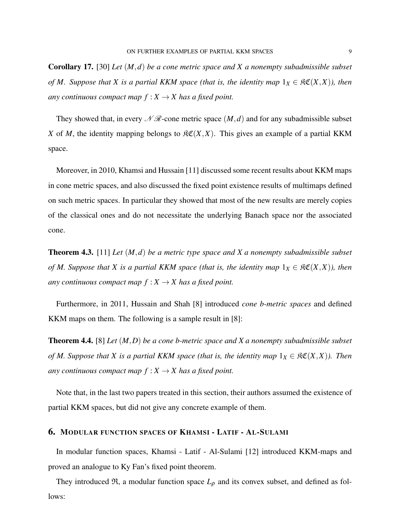Corollary 17. [30] *Let* (*M*,*d*) *be a cone metric space and X a nonempty subadmissible subset of M. Suppose that X is a partial KKM space (that is, the identity map*  $1_X \in \mathfrak{RC}(X,X)$ ), then *any continuous compact map*  $f : X \to X$  *has a fixed point.* 

They showed that, in every  $\mathcal{N}\mathcal{R}$ -cone metric space  $(M,d)$  and for any subadmissible subset *X* of *M*, the identity mapping belongs to  $\mathcal{RC}(X,X)$ . This gives an example of a partial KKM space.

Moreover, in 2010, Khamsi and Hussain [11] discussed some recent results about KKM maps in cone metric spaces, and also discussed the fixed point existence results of multimaps defined on such metric spaces. In particular they showed that most of the new results are merely copies of the classical ones and do not necessitate the underlying Banach space nor the associated cone.

Theorem 4.3. [11] *Let* (*M*,*d*) *be a metric type space and X a nonempty subadmissible subset of M. Suppose that X is a partial KKM space (that is, the identity map*  $1_X \in \mathfrak{RC}(X,X)$ ), then *any continuous compact map*  $f : X \to X$  *has a fixed point.* 

Furthermore, in 2011, Hussain and Shah [8] introduced *cone b-metric spaces* and defined KKM maps on them. The following is a sample result in [8]:

Theorem 4.4. [8] *Let* (*M*,*D*) *be a cone b-metric space and X a nonempty subadmissible subset of M. Suppose that X is a partial KKM space (that is, the identity map*  $1_X \in \mathfrak{RC}(X,X)$ ). Then *any continuous compact map*  $f : X \to X$  *has a fixed point.* 

Note that, in the last two papers treated in this section, their authors assumed the existence of partial KKM spaces, but did not give any concrete example of them.

### 6. MODULAR FUNCTION SPACES OF KHAMSI - LATIF - AL-SULAMI

In modular function spaces, Khamsi - Latif - Al-Sulami [12] introduced KKM-maps and proved an analogue to Ky Fan's fixed point theorem.

They introduced  $\Re$ , a modular function space  $L_{\rho}$  and its convex subset, and defined as follows: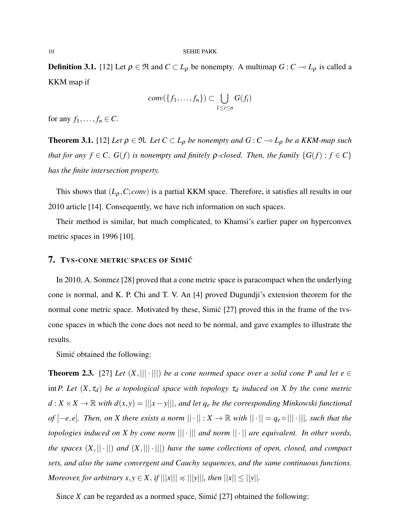**Definition 3.1.** [12] Let  $\rho \in \mathfrak{R}$  and  $C \subset L_{\rho}$  be nonempty. A multimap  $G : C \to L_{\rho}$  is called a KKM map if

$$
conv(\{f_1,\ldots,f_n\})\subset \bigcup_{1\leq i\leq n} G(f_i)
$$

for any  $f_1, \ldots, f_n \in \mathbb{C}$ .

**Theorem 3.1.** [12] *Let*  $\rho \in \mathfrak{R}$ *. Let*  $C \subset L_{\rho}$  *be nonempty and*  $G : C \to L_{\rho}$  *be a KKM-map such that for any*  $f \in C$ ,  $G(f)$  *is nonempty and finitely*  $\rho$ -closed. Then, the family  $\{G(f) : f \in C\}$ *has the finite intersection property.*

This shows that  $(L_{\rho}, C; conv)$  is a partial KKM space. Therefore, it satisfies all results in our 2010 article [14]. Consequently, we have rich information on such spaces.

Their method is similar, but much complicated, to Khamsi's earlier paper on hyperconvex metric spaces in 1996 [10].

### 7. TVS-CONE METRIC SPACES OF SIMIC´

In 2010, A. Sonmez [28] proved that a cone metric space is paracompact when the underlying cone is normal, and K. P. Chi and T. V. An [4] proved Dugundji's extension theorem for the normal cone metric space. Motivated by these, Simic [27] proved this in the frame of the tvscone spaces in which the cone does not need to be normal, and gave examples to illustrate the results.

Simic obtained the following:

**Theorem 2.3.** [27] *Let*  $(X, ||| \cdot |||)$  *be a cone normed space over a solid cone P and let e*  $\in$ int*P*. Let  $(X, \tau_d)$  be a topological space with topology  $\tau_d$  induced on X by the cone metric *d* : *X* × *X* → ℝ *with d*(*x*, *y*) = |||*x* − *y*|||, *and let q<sub>e</sub> be the corresponding Minkowski functional of*  $[-e,e]$ *. Then, on X there exists a norm*  $|| \cdot || : X \rightarrow \mathbb{R}$  *with*  $|| \cdot || = q_e ∘ ||| \cdot |||$ *, such that the topologies induced on X by cone norm* ||| · ||| *and norm* || · || *are equivalent. In other words, the spaces*  $(X, \|\cdot\|)$  *and*  $(X, \|\cdot\|)$  *have the same collections of open, closed, and compact sets, and also the same convergent and Cauchy sequences, and the same continuous functions. Moreover, for arbitrary*  $x, y \in X$ *, if*  $|||x||| \le ||y||$ *, then*  $||x|| \le ||y||$ *.* 

Since *X* can be regarded as a normed space, Simic [27] obtained the following: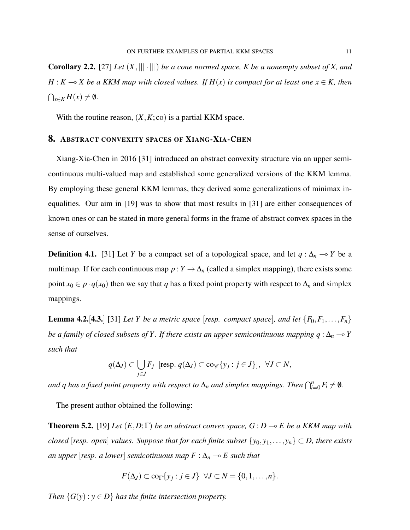**Corollary 2.2.** [27] *Let*  $(X, ||| \cdot |||)$  *be a cone normed space, K be a nonempty subset of X, and*  $H: K \to X$  *be a KKM map with closed values. If*  $H(x)$  *is compact for at least one*  $x \in K$ *, then*  $\bigcap_{x\in K} H(x) \neq \emptyset.$ 

With the routine reason,  $(X, K; \text{co})$  is a partial KKM space.

### 8. ABSTRACT CONVEXITY SPACES OF XIANG-XIA-CHEN

Xiang-Xia-Chen in 2016 [31] introduced an abstract convexity structure via an upper semicontinuous multi-valued map and established some generalized versions of the KKM lemma. By employing these general KKM lemmas, they derived some generalizations of minimax inequalities. Our aim in [19] was to show that most results in [31] are either consequences of known ones or can be stated in more general forms in the frame of abstract convex spaces in the sense of ourselves.

**Definition 4.1.** [31] Let *Y* be a compact set of a topological space, and let  $q : \Delta_n \to Y$  be a multimap. If for each continuous map  $p: Y \to \Delta_n$  (called a simplex mapping), there exists some point  $x_0 \in p \cdot q(x_0)$  then we say that *q* has a fixed point property with respect to  $\Delta_n$  and simplex mappings.

**Lemma 4.2.**[4.3.] [31] *Let Y be a metric space* [*resp. compact space*]*, and let*  $\{F_0, F_1, \ldots, F_n\}$ *be a family of closed subsets of Y. If there exists an upper semicontinuous mapping*  $q : \Delta_n \longrightarrow Y$ *such that*

$$
q(\Delta_J) \subset \bigcup_{j \in J} F_j \quad \text{[resp. } q(\Delta_J) \subset \text{co}_{\mathscr{C}}\{y_j : j \in J\}\big], \ \ \forall J \subset N,
$$

*and q has a fixed point property with respect to*  $\Delta_n$  *and simplex mappings. Then*  $\bigcap_{i=0}^n F_i \neq \emptyset$ *.* 

The present author obtained the following:

**Theorem 5.2.** [19] *Let*  $(E, D; \Gamma)$  *be an abstract convex space,*  $G: D \rightarrow E$  *be a KKM map with closed* [*resp. open*] *values. Suppose that for each finite subset*  $\{y_0, y_1, \ldots, y_n\} \subset D$ , there exists *an upper* [*resp. a lower*] *semicotinuous map*  $F : \Delta_n \to E$  *such that* 

$$
F(\Delta_J) \subset \text{co}_{\Gamma}\{y_j : j \in J\} \ \forall J \subset N = \{0, 1, \ldots, n\}.
$$

*Then*  $\{G(y) : y \in D\}$  *has the finite intersection property.*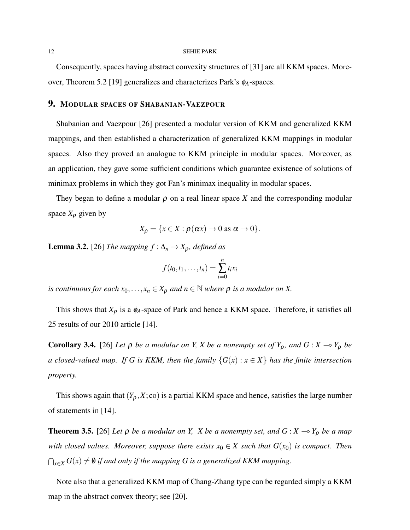Consequently, spaces having abstract convexity structures of [31] are all KKM spaces. Moreover, Theorem 5.2 [19] generalizes and characterizes Park's  $\phi_A$ -spaces.

# 9. MODULAR SPACES OF SHABANIAN-VAEZPOUR

Shabanian and Vaezpour [26] presented a modular version of KKM and generalized KKM mappings, and then established a characterization of generalized KKM mappings in modular spaces. Also they proved an analogue to KKM principle in modular spaces. Moreover, as an application, they gave some sufficient conditions which guarantee existence of solutions of minimax problems in which they got Fan's minimax inequality in modular spaces.

They began to define a modular  $\rho$  on a real linear space *X* and the corresponding modular space  $X_\rho$  given by

$$
X_{\rho} = \{x \in X : \rho(\alpha x) \to 0 \text{ as } \alpha \to 0\}.
$$

**Lemma 3.2.** [26] *The mapping*  $f : \Delta_n \to X_\rho$ *, defined as* 

$$
f(t_0,t_1,\ldots,t_n)=\sum_{i=0}^n t_ix_i
$$

*is continuous for each*  $x_0, \ldots, x_n \in X_\rho$  *and*  $n \in \mathbb{N}$  *where*  $\rho$  *is a modular on* X.

This shows that  $X_\rho$  is a  $\phi_A$ -space of Park and hence a KKM space. Therefore, it satisfies all 25 results of our 2010 article [14].

**Corollary 3.4.** [26] *Let*  $\rho$  *be a modular on Y, X be a nonempty set of*  $Y_{\rho}$ *, and*  $G: X \rightarrow Y_{\rho}$  *be a* closed-valued map. If G is KKM, then the family  ${G(x) : x \in X}$  has the finite intersection *property.*

This shows again that  $(Y_\rho, X; \text{co})$  is a partial KKM space and hence, satisfies the large number of statements in [14].

**Theorem 3.5.** [26] *Let*  $\rho$  *be a modular on Y, X be a nonempty set, and G :*  $X \rightarrow Y_\rho$  *<i>be a map with closed values. Moreover, suppose there exists*  $x_0 \in X$  *such that*  $G(x_0)$  *is compact. Then*  $\bigcap_{x\in X}G(x)\neq\emptyset$  *if and only if the mapping G is a generalized KKM mapping.* 

Note also that a generalized KKM map of Chang-Zhang type can be regarded simply a KKM map in the abstract convex theory; see [20].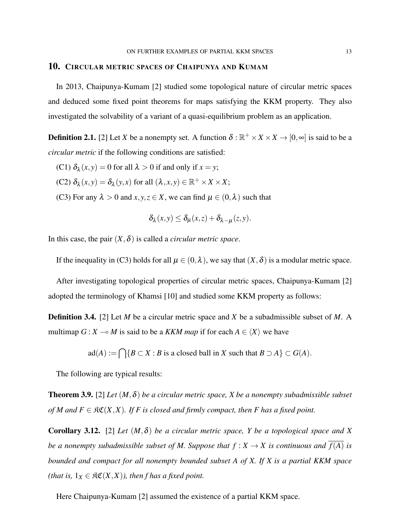### 10. CIRCULAR METRIC SPACES OF CHAIPUNYA AND KUMAM

In 2013, Chaipunya-Kumam [2] studied some topological nature of circular metric spaces and deduced some fixed point theorems for maps satisfying the KKM property. They also investigated the solvability of a variant of a quasi-equilibrium problem as an application.

**Definition 2.1.** [2] Let *X* be a nonempty set. A function  $\delta : \mathbb{R}^+ \times X \times X \to [0, \infty]$  is said to be a *circular metric* if the following conditions are satisfied:

- (C1)  $\delta_{\lambda}(x, y) = 0$  for all  $\lambda > 0$  if and only if  $x = y$ ;
- (C2)  $\delta_{\lambda}(x, y) = \delta_{\lambda}(y, x)$  for all  $(\lambda, x, y) \in \mathbb{R}^+ \times X \times X$ ;
- (C3) For any  $\lambda > 0$  and  $x, y, z \in X$ , we can find  $\mu \in (0, \lambda)$  such that

$$
\delta_{\lambda}(x,y) \leq \delta_{\mu}(x,z) + \delta_{\lambda-\mu}(z,y).
$$

In this case, the pair  $(X, \delta)$  is called a *circular metric space*.

If the inequality in (C3) holds for all  $\mu \in (0, \lambda)$ , we say that  $(X, \delta)$  is a modular metric space.

After investigating topological properties of circular metric spaces, Chaipunya-Kumam [2] adopted the terminology of Khamsi [10] and studied some KKM property as follows:

Definition 3.4. [2] Let *M* be a circular metric space and *X* be a subadmissible subset of *M*. A multimap *G* : *X*  $\sim M$  is said to be a *KKM map* if for each  $A \in \langle X \rangle$  we have

$$
ad(A) := \bigcap \{ B \subset X : B \text{ is a closed ball in } X \text{ such that } B \supset A \} \subset G(A).
$$

The following are typical results:

**Theorem 3.9.** [2] *Let*  $(M, \delta)$  *be a circular metric space, X be a nonempty subadmissible subset of M and F*  $\in$   $\Re\mathfrak{C}(X,X)$ *. If F is closed and firmly compact, then F has a fixed point.* 

Corollary 3.12. [2] *Let* (*M*,δ) *be a circular metric space, Y be a topological space and X be a nonempty subadmissible subset of M. Suppose that*  $f : X \to X$  *is continuous and*  $\overline{f(A)}$  *is bounded and compact for all nonempty bounded subset A of X. If X is a partial KKM space (that is,*  $1_X \in \mathfrak{RC}(X,X)$ *), then f has a fixed point.* 

Here Chaipunya-Kumam [2] assumed the existence of a partial KKM space.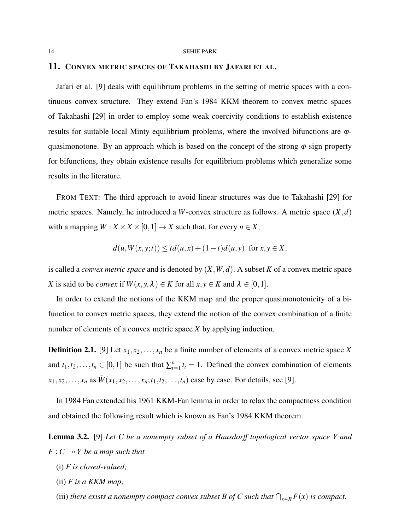### 11. CONVEX METRIC SPACES OF TAKAHASHI BY JAFARI ET AL.

Jafari et al. [9] deals with equilibrium problems in the setting of metric spaces with a continuous convex structure. They extend Fan's 1984 KKM theorem to convex metric spaces of Takahashi [29] in order to employ some weak coercivity conditions to establish existence results for suitable local Minty equilibrium problems, where the involved bifunctions are ϕquasimonotone. By an approach which is based on the concept of the strong  $\varphi$ -sign property for bifunctions, they obtain existence results for equilibrium problems which generalize some results in the literature.

FROM TEXT: The third approach to avoid linear structures was due to Takahashi [29] for metric spaces. Namely, he introduced a *W*-convex structure as follows. A metric space  $(X, d)$ with a mapping  $W : X \times X \times [0,1] \rightarrow X$  such that, for every  $u \in X$ ,

$$
d(u, W(x, y; t)) \leq td(u, x) + (1-t)d(u, y) \text{ for } x, y \in X,
$$

is called a *convex metric space* and is denoted by (*X*,*W*,*d*). A subset *K* of a convex metric space *X* is said to be *convex* if  $W(x, y, \lambda) \in K$  for all  $x, y \in K$  and  $\lambda \in [0, 1]$ .

In order to extend the notions of the KKM map and the proper quasimonotonicity of a bifunction to convex metric spaces, they extend the notion of the convex combination of a finite number of elements of a convex metric space *X* by applying induction.

**Definition 2.1.** [9] Let  $x_1, x_2, \ldots, x_n$  be a finite number of elements of a convex metric space *X* and  $t_1, t_2, \ldots, t_n \in [0, 1]$  be such that  $\sum_{i=1}^n t_i = 1$ . Defined the convex combination of elements  $x_1, x_2, \ldots, x_n$  as  $\tilde{W}(x_1, x_2, \ldots, x_n; t_1, t_2, \ldots, t_n)$  case by case. For details, see [9].

In 1984 Fan extended his 1961 KKM-Fan lemma in order to relax the compactness condition and obtained the following result which is known as Fan's 1984 KKM theorem.

Lemma 3.2. [9] *Let C be a nonempty subset of a Hausdorff topological vector space Y and*  $F: C \longrightarrow Y$  be a map such that

- (i) *F is closed-valued;*
- (ii) *F is a KKM map;*
- (iii) *there exists a nonempty compact convex subset B of C such that*  $\bigcap_{x \in B} F(x)$  *is compact.*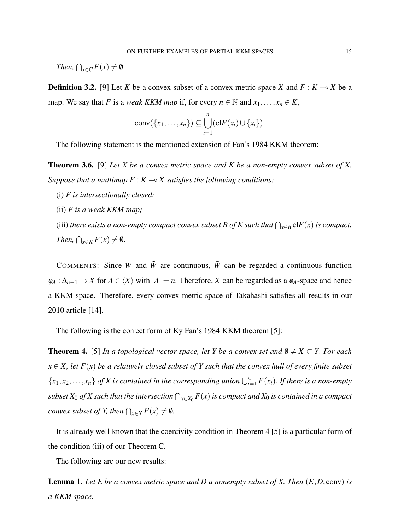*Then,*  $\bigcap_{x \in C} F(x) \neq \emptyset$ .

**Definition 3.2.** [9] Let *K* be a convex subset of a convex metric space *X* and  $F : K \to X$  be a map. We say that *F* is a *weak KKM map* if, for every  $n \in \mathbb{N}$  and  $x_1, \ldots, x_n \in K$ ,

$$
conv({x_1,...,x_n}) \subseteq \bigcup_{i=1}^n (clF(x_i) \cup {x_i}).
$$

The following statement is the mentioned extension of Fan's 1984 KKM theorem:

Theorem 3.6. [9] *Let X be a convex metric space and K be a non-empty convex subset of X. Suppose that a multimap*  $F : K \to X$  *satisfies the following conditions:* 

- (i) *F is intersectionally closed;*
- (ii) *F is a weak KKM map;*
- (iii) *there exists a non-empty compact convex subset B of K such that*  $\bigcap_{x \in B} \text{cl}F(x)$  *is compact. Then,*  $\bigcap_{x \in K} F(x) \neq \emptyset$ .

COMMENTS: Since *W* and  $\tilde{W}$  are continuous,  $\tilde{W}$  can be regarded a continuous function  $\phi_A : \Delta_{n-1} \to X$  for  $A \in \langle X \rangle$  with  $|A| = n$ . Therefore, *X* can be regarded as a  $\phi_A$ -space and hence a KKM space. Therefore, every convex metric space of Takahashi satisfies all results in our 2010 article [14].

The following is the correct form of Ky Fan's 1984 KKM theorem [5]:

**Theorem 4.** [5] *In a topological vector space, let Y be a convex set and*  $\emptyset \neq X \subset Y$ *. For each*  $x \in X$ , let  $F(x)$  be a relatively closed subset of Y such that the convex hull of every finite subset  ${x_1, x_2, \ldots, x_n}$  *of X is contained in the corresponding union*  $\bigcup_{i=1}^n F(x_i)$ . If there is a non-empty  $s$ ubset  $X_0$  of  $X$  such that the intersection  $\bigcap_{x\in X_0} F(x)$  is compact and  $X_0$  is contained in a compact *convex subset of Y, then*  $\bigcap_{x \in X} F(x) \neq \emptyset$ *.* 

It is already well-known that the coercivity condition in Theorem 4 [5] is a particular form of the condition (iii) of our Theorem C.

The following are our new results:

Lemma 1. *Let E be a convex metric space and D a nonempty subset of X. Then* (*E*,*D*; conv) *is a KKM space.*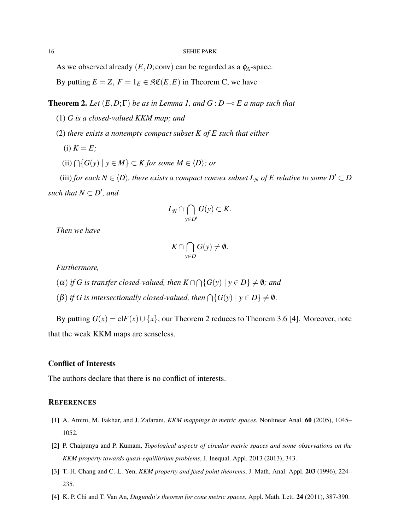As we observed already  $(E, D; conv)$  can be regarded as a  $\phi_A$ -space.

By putting  $E = Z$ ,  $F = 1_E \in \mathfrak{RC}(E, E)$  in Theorem C, we have

**Theorem 2.** Let  $(E, D; \Gamma)$  be as in Lemma 1, and  $G: D \to E$  a map such that

(1) *G is a closed-valued KKM map; and*

(2) *there exists a nonempty compact subset K of E such that either*

- (i)  $K = E$ ;
- $(iii) ∩ {G(y) | y ∈ M} ⊂ K for some M ∈  $\langle D \rangle$ ; or$

(iii) *for each*  $N \in \langle D \rangle$ *, there exists a compact convex subset*  $L_N$  *of*  $E$  *relative to some*  $D' \subset D$ *such that*  $N \subset D'$ *, and* 

$$
L_N\cap\bigcap_{y\in D'}G(y)\subset K.
$$

*Then we have*

$$
K \cap \bigcap_{y \in D} G(y) \neq \emptyset.
$$

*Furthermore,*

 $\mathcal{L}(\alpha)$  if G is transfer closed-valued, then  $K \cap \bigcap \{G(y) \mid y \in D\} \neq \emptyset$ ; and

 $(\beta)$  *if* G is intersectionally closed-valued, then  $\bigcap \{G(y) \mid y \in D\} \neq \emptyset$ .

By putting  $G(x) = c l F(x) \cup \{x\}$ , our Theorem 2 reduces to Theorem 3.6 [4]. Moreover, note that the weak KKM maps are senseless.

### Conflict of Interests

The authors declare that there is no conflict of interests.

#### **REFERENCES**

- [1] A. Amini, M. Fakhar, and J. Zafarani, *KKM mappings in metric spaces*, Nonlinear Anal. 60 (2005), 1045– 1052.
- [2] P. Chaipunya and P. Kumam, *Topological aspects of circular metric spaces and some observations on the KKM property towards quasi-equilibrium problems*, J. Inequal. Appl. 2013 (2013), 343.
- [3] T.-H. Chang and C.-L. Yen, *KKM property and fixed point theorems*, J. Math. Anal. Appl. 203 (1996), 224– 235.
- [4] K. P. Chi and T. Van An, *Dugundji's theorem for cone metric spaces*, Appl. Math. Lett. 24 (2011), 387-390.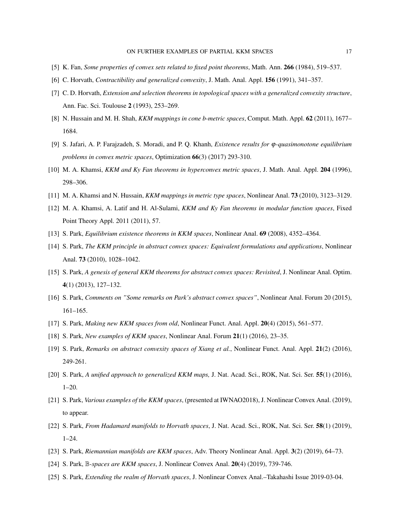- [5] K. Fan, *Some properties of convex sets related to fixed point theorems*, Math. Ann. 266 (1984), 519–537.
- [6] C. Horvath, *Contractibility and generalized convexity*, J. Math. Anal. Appl. 156 (1991), 341–357.
- [7] C. D. Horvath, *Extension and selection theorems in topological spaces with a generalized convexity structure*, Ann. Fac. Sci. Toulouse 2 (1993), 253–269.
- [8] N. Hussain and M. H. Shah, *KKM mappings in cone b-metric spaces*, Comput. Math. Appl. 62 (2011), 1677– 1684.
- [9] S. Jafari, A. P. Farajzadeh, S. Moradi, and P. Q. Khanh, *Existence results for* ϕ*-quasimonotone equilibrium problems in convex metric spaces*, Optimization 66(3) (2017) 293-310.
- [10] M. A. Khamsi, *KKM and Ky Fan theorems in hyperconvex metric spaces*, J. Math. Anal. Appl. 204 (1996), 298–306.
- [11] M. A. Khamsi and N. Hussain, *KKM mappings in metric type spaces*, Nonlinear Anal. 73 (2010), 3123–3129.
- [12] M. A. Khamsi, A. Latif and H. Al-Sulami, *KKM and Ky Fan theorems in modular function spaces*, Fixed Point Theory Appl. 2011 (2011), 57.
- [13] S. Park, *Equilibrium existence theorems in KKM spaces*, Nonlinear Anal. 69 (2008), 4352–4364.
- [14] S. Park, *The KKM principle in abstract convex spaces: Equivalent formulations and applications*, Nonlinear Anal. 73 (2010), 1028–1042.
- [15] S. Park, *A genesis of general KKM theorems for abstract convex spaces: Revisited*, J. Nonlinear Anal. Optim. 4(1) (2013), 127–132.
- [16] S. Park, *Comments on "Some remarks on Park's abstract convex spaces"*, Nonlinear Anal. Forum 20 (2015), 161–165.
- [17] S. Park, *Making new KKM spaces from old*, Nonlinear Funct. Anal. Appl. 20(4) (2015), 561–577.
- [18] S. Park, *New examples of KKM spaces*, Nonlinear Anal. Forum 21(1) (2016), 23–35.
- [19] S. Park, *Remarks on abstract convexity spaces of Xiang et al.*, Nonlinear Funct. Anal. Appl. 21(2) (2016), 249-261.
- [20] S. Park, *A unified approach to generalized KKM maps,* J. Nat. Acad. Sci., ROK, Nat. Sci. Ser. 55(1) (2016), 1–20.
- [21] S. Park, *Various examples of the KKM spaces*, (presented at IWNAO2018), J. Nonlinear Convex Anal. (2019), to appear.
- [22] S. Park, *From Hadamard manifolds to Horvath spaces*, J. Nat. Acad. Sci., ROK, Nat. Sci. Ser. 58(1) (2019), 1–24.
- [23] S. Park, *Riemannian manifolds are KKM spaces*, Adv. Theory Nonlinear Anal. Appl. 3(2) (2019), 64–73.
- [24] S. Park, B*-spaces are KKM spaces*, J. Nonlinear Convex Anal. 20(4) (2019), 739-746.
- [25] S. Park, *Extending the realm of Horvath spaces*, J. Nonlinear Convex Anal.–Takahashi Issue 2019-03-04.